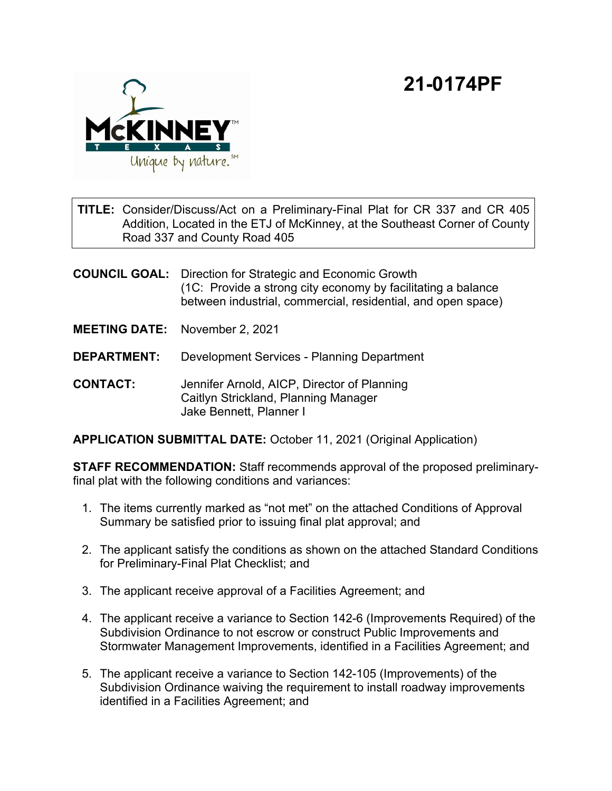## **21-0174PF**



TITLE: Consider/Discuss/Act on a Preliminary-Final Plat for CR 337 and CR 405 Addition, Located in the ETJ of McKinney, at the Southeast Corner of County Road 337 and County Road 405

**COUNCIL GOAL:** Direction for Strategic and Economic Growth (1C: Provide a strong city economy by facilitating a balance between industrial, commercial, residential, and open space)

- **MEETING DATE:** November 2, 2021
- **DEPARTMENT:** Development Services Planning Department
- **CONTACT:** Jennifer Arnold, AICP, Director of Planning Caitlyn Strickland, Planning Manager Jake Bennett, Planner I

**APPLICATION SUBMITTAL DATE:** October 11, 2021 (Original Application)

**STAFF RECOMMENDATION:** Staff recommends approval of the proposed preliminaryfinal plat with the following conditions and variances:

- 1. The items currently marked as "not met" on the attached Conditions of Approval Summary be satisfied prior to issuing final plat approval; and
- 2. The applicant satisfy the conditions as shown on the attached Standard Conditions for Preliminary-Final Plat Checklist; and
- 3. The applicant receive approval of a Facilities Agreement; and
- 4. The applicant receive a variance to Section 142-6 (Improvements Required) of the Subdivision Ordinance to not escrow or construct Public Improvements and Stormwater Management Improvements, identified in a Facilities Agreement; and
- 5. The applicant receive a variance to Section 142-105 (Improvements) of the Subdivision Ordinance waiving the requirement to install roadway improvements identified in a Facilities Agreement; and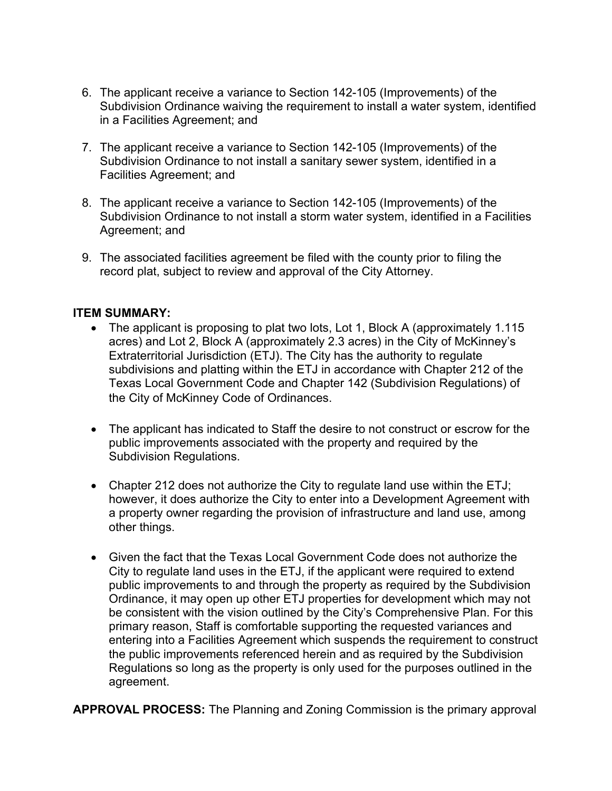- 6. The applicant receive a variance to Section 142-105 (Improvements) of the Subdivision Ordinance waiving the requirement to install a water system, identified in a Facilities Agreement; and
- 7. The applicant receive a variance to Section 142-105 (Improvements) of the Subdivision Ordinance to not install a sanitary sewer system, identified in a Facilities Agreement; and
- 8. The applicant receive a variance to Section 142-105 (Improvements) of the Subdivision Ordinance to not install a storm water system, identified in a Facilities Agreement; and
- 9. The associated facilities agreement be filed with the county prior to filing the record plat, subject to review and approval of the City Attorney.

## **ITEM SUMMARY:**

- The applicant is proposing to plat two lots, Lot 1, Block A (approximately 1.115 acres) and Lot 2, Block A (approximately 2.3 acres) in the City of McKinney's Extraterritorial Jurisdiction (ETJ). The City has the authority to regulate subdivisions and platting within the ETJ in accordance with Chapter 212 of the Texas Local Government Code and Chapter 142 (Subdivision Regulations) of the City of McKinney Code of Ordinances.
- · The applicant has indicated to Staff the desire to not construct or escrow for the public improvements associated with the property and required by the Subdivision Regulations.
- Chapter 212 does not authorize the City to regulate land use within the ETJ; however, it does authorize the City to enter into a Development Agreement with a property owner regarding the provision of infrastructure and land use, among other things.
- · Given the fact that the Texas Local Government Code does not authorize the City to regulate land uses in the ETJ, if the applicant were required to extend public improvements to and through the property as required by the Subdivision Ordinance, it may open up other ETJ properties for development which may not be consistent with the vision outlined by the City's Comprehensive Plan. For this primary reason, Staff is comfortable supporting the requested variances and entering into a Facilities Agreement which suspends the requirement to construct the public improvements referenced herein and as required by the Subdivision Regulations so long as the property is only used for the purposes outlined in the agreement.

**APPROVAL PROCESS:** The Planning and Zoning Commission is the primary approval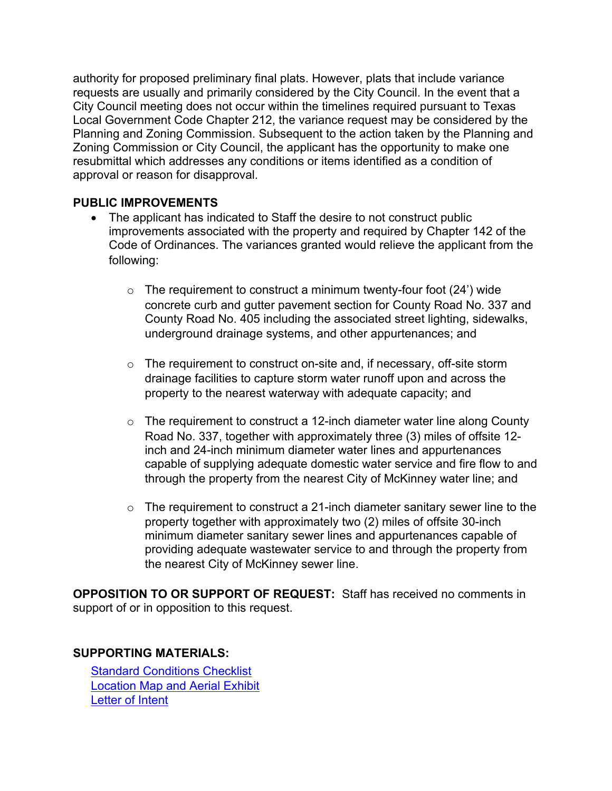authority for proposed preliminary final plats. However, plats that include variance requests are usually and primarily considered by the City Council. In the event that a City Council meeting does not occur within the timelines required pursuant to Texas Local Government Code Chapter 212, the variance request may be considered by the Planning and Zoning Commission. Subsequent to the action taken by the Planning and Zoning Commission or City Council, the applicant has the opportunity to make one resubmittal which addresses any conditions or items identified as a condition of approval or reason for disapproval.

## **PUBLIC IMPROVEMENTS**

- The applicant has indicated to Staff the desire to not construct public improvements associated with the property and required by Chapter 142 of the Code of Ordinances. The variances granted would relieve the applicant from the following:
	- $\circ$  The requirement to construct a minimum twenty-four foot (24') wide concrete curb and gutter pavement section for County Road No. 337 and County Road No. 405 including the associated street lighting, sidewalks, underground drainage systems, and other appurtenances; and
	- o The requirement to construct on-site and, if necessary, off-site storm drainage facilities to capture storm water runoff upon and across the property to the nearest waterway with adequate capacity; and
	- o The requirement to construct a 12-inch diameter water line along County Road No. 337, together with approximately three (3) miles of offsite 12 inch and 24-inch minimum diameter water lines and appurtenances capable of supplying adequate domestic water service and fire flow to and through the property from the nearest City of McKinney water line; and
	- $\circ$  The requirement to construct a 21-inch diameter sanitary sewer line to the property together with approximately two (2) miles of offsite 30-inch minimum diameter sanitary sewer lines and appurtenances capable of providing adequate wastewater service to and through the property from the nearest City of McKinney sewer line.

**OPPOSITION TO OR SUPPORT OF REQUEST:** Staff has received no comments in support of or in opposition to this request.

## **SUPPORTING MATERIALS:**

[Standard Conditions Checklist](View.ashx?M=F&ID=9920444&GUID=B62BA92E-5A13-431D-9317-D8E2A69C332A) [Location Map and Aerial Exhibit](View.ashx?M=F&ID=9920410&GUID=018648F4-9CA5-4F07-BDF5-FE09D3D25C24) [Letter of Intent](View.ashx?M=F&ID=9920412&GUID=D7910A5C-FD93-4E16-BFAF-AD135BF9F5F0)